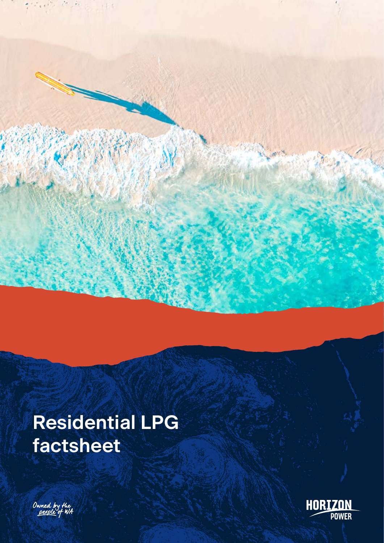

# **Residential LPG factsheet**



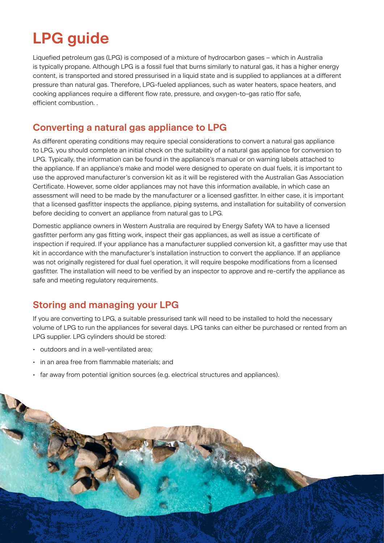## **LPG guide**

Liquefied petroleum gas (LPG) is composed of a mixture of hydrocarbon gases – which in Australia is typically propane. Although LPG is a fossil fuel that burns similarly to natural gas, it has a higher energy content, is transported and stored pressurised in a liquid state and is supplied to appliances at a different pressure than natural gas. Therefore, LPG-fueled appliances, such as water heaters, space heaters, and cooking appliances require a different flow rate, pressure, and oxygen-to-gas ratio ffor safe, efficient combustion. .

#### **Converting a natural gas appliance to LPG**

As different operating conditions may require special considerations to convert a natural gas appliance to LPG, you should complete an initial check on the suitability of a natural gas appliance for conversion to LPG. Typically, the information can be found in the appliance's manual or on warning labels attached to the appliance. If an appliance's make and model were designed to operate on dual fuels, it is important to use the approved manufacturer's conversion kit as it will be registered with the Australian Gas Association Certificate. However, some older appliances may not have this information available, in which case an assessment will need to be made by the manufacturer or a licensed gasfitter. In either case, it is important that a licensed gasfitter inspects the appliance, piping systems, and installation for suitability of conversion before deciding to convert an appliance from natural gas to LPG.

Domestic appliance owners in Western Australia are required by Energy Safety WA to have a licensed gasfitter perform any gas fitting work, inspect their gas appliances, as well as issue a certificate of inspection if required. If your appliance has a manufacturer supplied conversion kit, a gasfitter may use that kit in accordance with the manufacturer's installation instruction to convert the appliance. If an appliance was not originally registered for dual fuel operation, it will require bespoke modifications from a licensed gasfitter. The installation will need to be verified by an inspector to approve and re-certify the appliance as safe and meeting regulatory requirements.

## **Storing and managing your LPG**

If you are converting to LPG, a suitable pressurised tank will need to be installed to hold the necessary volume of LPG to run the appliances for several days. LPG tanks can either be purchased or rented from an LPG supplier. LPG cylinders should be stored:

- outdoors and in a well-ventilated area;
- in an area free from flammable materials; and
- far away from potential ignition sources (e.g. electrical structures and appliances).

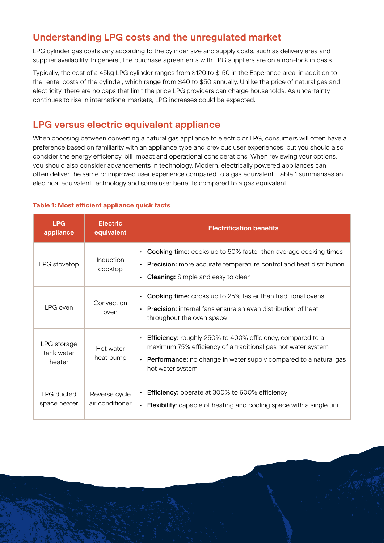## **Understanding LPG costs and the unregulated market**

LPG cylinder gas costs vary according to the cylinder size and supply costs, such as delivery area and supplier availability. In general, the purchase agreements with LPG suppliers are on a non-lock in basis.

Typically, the cost of a 45kg LPG cylinder ranges from \$120 to \$150 in the Esperance area, in addition to the rental costs of the cylinder, which range from \$40 to \$50 annually. Unlike the price of natural gas and electricity, there are no caps that limit the price LPG providers can charge households. As uncertainty continues to rise in international markets, LPG increases could be expected.

#### **LPG versus electric equivalent appliance**

When choosing between converting a natural gas appliance to electric or LPG, consumers will often have a preference based on familiarity with an appliance type and previous user experiences, but you should also consider the energy efficiency, bill impact and operational considerations. When reviewing your options, you should also consider advancements in technology. Modern, electrically powered appliances can often deliver the same or improved user experience compared to a gas equivalent. Table 1 summarises an electrical equivalent technology and some user benefits compared to a gas equivalent.

#### **Table 1: Most efficient appliance quick facts**

| <b>LPG</b><br>appliance             | <b>Electric</b><br>equivalent    | <b>Electrification benefits</b>                                                                                                                                                                                                                            |  |
|-------------------------------------|----------------------------------|------------------------------------------------------------------------------------------------------------------------------------------------------------------------------------------------------------------------------------------------------------|--|
| LPG stovetop                        | Induction<br>cooktop             | <b>Cooking time:</b> cooks up to 50% faster than average cooking times<br>$\bullet$<br><b>Precision:</b> more accurate temperature control and heat distribution<br>$\bullet$<br><b>Cleaning:</b> Simple and easy to clean<br>$\bullet$                    |  |
| I PG oven                           | Convection<br>oven               | <b>Cooking time:</b> cooks up to 25% faster than traditional ovens<br>$\bullet$<br><b>Precision:</b> internal fans ensure an even distribution of heat<br>$\bullet$<br>throughout the oven space                                                           |  |
| LPG storage<br>tank water<br>heater | Hot water<br>heat pump           | <b>Efficiency:</b> roughly 250% to 400% efficiency, compared to a<br>$\bullet$<br>maximum 75% efficiency of a traditional gas hot water system<br><b>Performance:</b> no change in water supply compared to a natural gas<br>$\bullet$<br>hot water system |  |
| LPG ducted<br>space heater          | Reverse cycle<br>air conditioner | <b>Efficiency:</b> operate at 300% to 600% efficiency<br><b>Flexibility:</b> capable of heating and cooling space with a single unit<br>$\bullet$                                                                                                          |  |